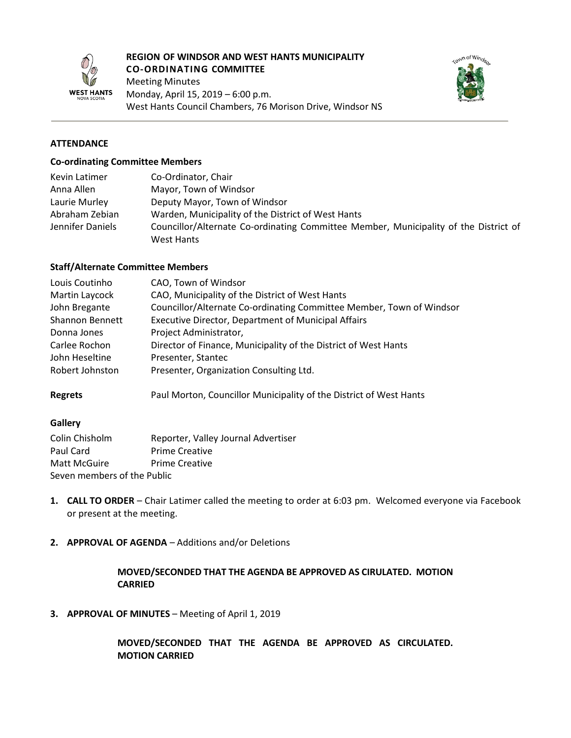

#### **REGION OF WINDSOR AND WEST HANTS MUNICIPALITY CO-ORDINATING COMMITTEE**

Meeting Minutes Monday, April 15, 2019 – 6:00 p.m. West Hants Council Chambers, 76 Morison Drive, Windsor NS



## **ATTENDANCE**

#### **Co-ordinating Committee Members**

| Kevin Latimer    | Co-Ordinator, Chair                                                                  |  |
|------------------|--------------------------------------------------------------------------------------|--|
| Anna Allen       | Mayor, Town of Windsor                                                               |  |
| Laurie Murley    | Deputy Mayor, Town of Windsor                                                        |  |
| Abraham Zebian   | Warden, Municipality of the District of West Hants                                   |  |
| Jennifer Daniels | Councillor/Alternate Co-ordinating Committee Member, Municipality of the District of |  |
|                  | West Hants                                                                           |  |

#### **Staff/Alternate Committee Members**

| Louis Coutinho         | CAO, Town of Windsor                                                 |  |
|------------------------|----------------------------------------------------------------------|--|
| Martin Laycock         | CAO, Municipality of the District of West Hants                      |  |
| John Bregante          | Councillor/Alternate Co-ordinating Committee Member, Town of Windsor |  |
| <b>Shannon Bennett</b> | <b>Executive Director, Department of Municipal Affairs</b>           |  |
| Donna Jones            | Project Administrator,                                               |  |
| Carlee Rochon          | Director of Finance, Municipality of the District of West Hants      |  |
| John Heseltine         | Presenter, Stantec                                                   |  |
| Robert Johnston        | Presenter, Organization Consulting Ltd.                              |  |
|                        |                                                                      |  |

**Regrets** Paul Morton, Councillor Municipality of the District of West Hants

#### **Gallery**

| Colin Chisholm              | Reporter, Valley Journal Advertiser |  |  |  |
|-----------------------------|-------------------------------------|--|--|--|
| Paul Card                   | <b>Prime Creative</b>               |  |  |  |
| Matt McGuire                | <b>Prime Creative</b>               |  |  |  |
| Seven members of the Public |                                     |  |  |  |

- **1. CALL TO ORDER** Chair Latimer called the meeting to order at 6:03 pm. Welcomed everyone via Facebook or present at the meeting.
- **2. APPROVAL OF AGENDA** Additions and/or Deletions

## **MOVED/SECONDED THAT THE AGENDA BE APPROVED AS CIRULATED. MOTION CARRIED**

**3. APPROVAL OF MINUTES** – Meeting of April 1, 2019

**MOVED/SECONDED THAT THE AGENDA BE APPROVED AS CIRCULATED. MOTION CARRIED**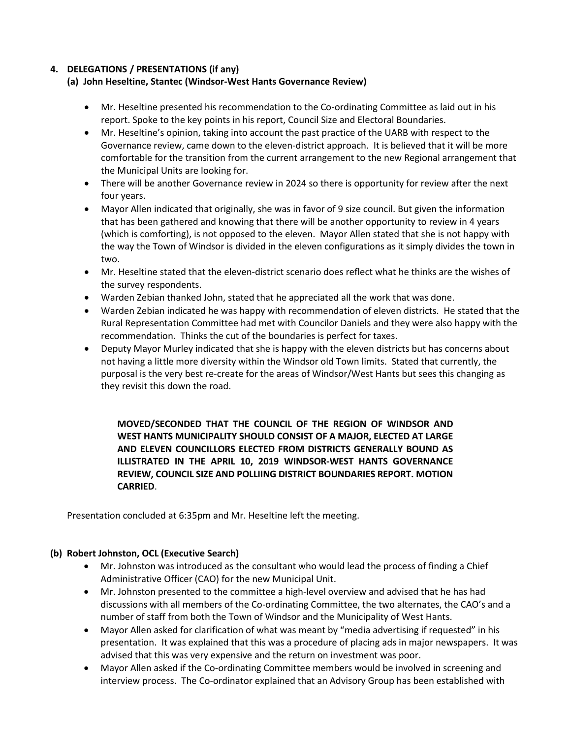## **4. DELEGATIONS / PRESENTATIONS (if any)**

# **(a) John Heseltine, Stantec (Windsor-West Hants Governance Review)**

- Mr. Heseltine presented his recommendation to the Co-ordinating Committee as laid out in his report. Spoke to the key points in his report, Council Size and Electoral Boundaries.
- Mr. Heseltine's opinion, taking into account the past practice of the UARB with respect to the Governance review, came down to the eleven-district approach. It is believed that it will be more comfortable for the transition from the current arrangement to the new Regional arrangement that the Municipal Units are looking for.
- There will be another Governance review in 2024 so there is opportunity for review after the next four years.
- Mayor Allen indicated that originally, she was in favor of 9 size council. But given the information that has been gathered and knowing that there will be another opportunity to review in 4 years (which is comforting), is not opposed to the eleven. Mayor Allen stated that she is not happy with the way the Town of Windsor is divided in the eleven configurations as it simply divides the town in two.
- Mr. Heseltine stated that the eleven-district scenario does reflect what he thinks are the wishes of the survey respondents.
- Warden Zebian thanked John, stated that he appreciated all the work that was done.
- Warden Zebian indicated he was happy with recommendation of eleven districts. He stated that the Rural Representation Committee had met with Councilor Daniels and they were also happy with the recommendation. Thinks the cut of the boundaries is perfect for taxes.
- Deputy Mayor Murley indicated that she is happy with the eleven districts but has concerns about not having a little more diversity within the Windsor old Town limits. Stated that currently, the purposal is the very best re-create for the areas of Windsor/West Hants but sees this changing as they revisit this down the road.

**MOVED/SECONDED THAT THE COUNCIL OF THE REGION OF WINDSOR AND WEST HANTS MUNICIPALITY SHOULD CONSIST OF A MAJOR, ELECTED AT LARGE AND ELEVEN COUNCILLORS ELECTED FROM DISTRICTS GENERALLY BOUND AS ILLISTRATED IN THE APRIL 10, 2019 WINDSOR-WEST HANTS GOVERNANCE REVIEW, COUNCIL SIZE AND POLLIING DISTRICT BOUNDARIES REPORT. MOTION CARRIED**.

Presentation concluded at 6:35pm and Mr. Heseltine left the meeting.

# **(b) Robert Johnston, OCL (Executive Search)**

- Mr. Johnston was introduced as the consultant who would lead the process of finding a Chief Administrative Officer (CAO) for the new Municipal Unit.
- Mr. Johnston presented to the committee a high-level overview and advised that he has had discussions with all members of the Co-ordinating Committee, the two alternates, the CAO's and a number of staff from both the Town of Windsor and the Municipality of West Hants.
- Mayor Allen asked for clarification of what was meant by "media advertising if requested" in his presentation. It was explained that this was a procedure of placing ads in major newspapers. It was advised that this was very expensive and the return on investment was poor.
- Mayor Allen asked if the Co-ordinating Committee members would be involved in screening and interview process. The Co-ordinator explained that an Advisory Group has been established with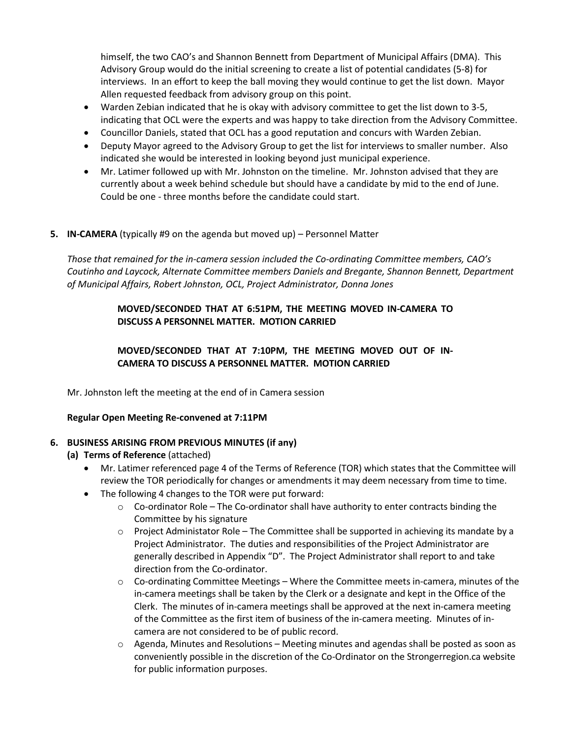himself, the two CAO's and Shannon Bennett from Department of Municipal Affairs (DMA). This Advisory Group would do the initial screening to create a list of potential candidates (5-8) for interviews. In an effort to keep the ball moving they would continue to get the list down. Mayor Allen requested feedback from advisory group on this point.

- Warden Zebian indicated that he is okay with advisory committee to get the list down to 3-5, indicating that OCL were the experts and was happy to take direction from the Advisory Committee.
- Councillor Daniels, stated that OCL has a good reputation and concurs with Warden Zebian.
- Deputy Mayor agreed to the Advisory Group to get the list for interviews to smaller number. Also indicated she would be interested in looking beyond just municipal experience.
- Mr. Latimer followed up with Mr. Johnston on the timeline. Mr. Johnston advised that they are currently about a week behind schedule but should have a candidate by mid to the end of June. Could be one - three months before the candidate could start.

## **5. IN-CAMERA** (typically #9 on the agenda but moved up) – Personnel Matter

*Those that remained for the in-camera session included the Co-ordinating Committee members, CAO's Coutinho and Laycock, Alternate Committee members Daniels and Bregante, Shannon Bennett, Department of Municipal Affairs, Robert Johnston, OCL, Project Administrator, Donna Jones*

## **MOVED/SECONDED THAT AT 6:51PM, THE MEETING MOVED IN-CAMERA TO DISCUSS A PERSONNEL MATTER. MOTION CARRIED**

**MOVED/SECONDED THAT AT 7:10PM, THE MEETING MOVED OUT OF IN-CAMERA TO DISCUSS A PERSONNEL MATTER. MOTION CARRIED**

Mr. Johnston left the meeting at the end of in Camera session

## **Regular Open Meeting Re-convened at 7:11PM**

## **6. BUSINESS ARISING FROM PREVIOUS MINUTES (if any)**

- **(a) Terms of Reference** (attached)
	- Mr. Latimer referenced page 4 of the Terms of Reference (TOR) which states that the Committee will review the TOR periodically for changes or amendments it may deem necessary from time to time.
	- The following 4 changes to the TOR were put forward:
		- $\circ$  Co-ordinator Role The Co-ordinator shall have authority to enter contracts binding the Committee by his signature
		- $\circ$  Project Administator Role The Committee shall be supported in achieving its mandate by a Project Administrator. The duties and responsibilities of the Project Administrator are generally described in Appendix "D". The Project Administrator shall report to and take direction from the Co-ordinator.
		- $\circ$  Co-ordinating Committee Meetings Where the Committee meets in-camera, minutes of the in-camera meetings shall be taken by the Clerk or a designate and kept in the Office of the Clerk. The minutes of in-camera meetings shall be approved at the next in-camera meeting of the Committee as the first item of business of the in-camera meeting. Minutes of incamera are not considered to be of public record.
		- $\circ$  Agenda, Minutes and Resolutions Meeting minutes and agendas shall be posted as soon as conveniently possible in the discretion of the Co-Ordinator on the Strongerregion.ca website for public information purposes.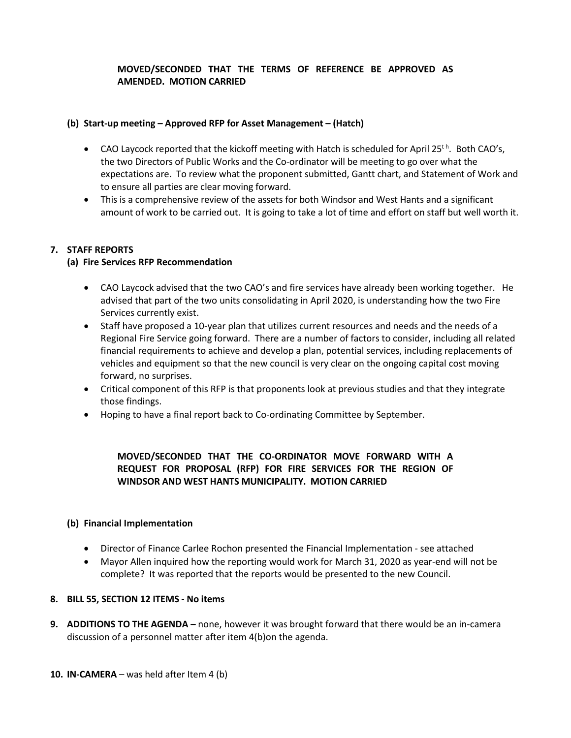## **MOVED/SECONDED THAT THE TERMS OF REFERENCE BE APPROVED AS AMENDED. MOTION CARRIED**

#### **(b) Start-up meeting – Approved RFP for Asset Management – (Hatch)**

- CAO Laycock reported that the kickoff meeting with Hatch is scheduled for April 25<sup>th</sup>. Both CAO's, the two Directors of Public Works and the Co-ordinator will be meeting to go over what the expectations are. To review what the proponent submitted, Gantt chart, and Statement of Work and to ensure all parties are clear moving forward.
- This is a comprehensive review of the assets for both Windsor and West Hants and a significant amount of work to be carried out. It is going to take a lot of time and effort on staff but well worth it.

## **7. STAFF REPORTS**

## **(a) Fire Services RFP Recommendation**

- CAO Laycock advised that the two CAO's and fire services have already been working together. He advised that part of the two units consolidating in April 2020, is understanding how the two Fire Services currently exist.
- Staff have proposed a 10-year plan that utilizes current resources and needs and the needs of a Regional Fire Service going forward. There are a number of factors to consider, including all related financial requirements to achieve and develop a plan, potential services, including replacements of vehicles and equipment so that the new council is very clear on the ongoing capital cost moving forward, no surprises.
- Critical component of this RFP is that proponents look at previous studies and that they integrate those findings.
- Hoping to have a final report back to Co-ordinating Committee by September.

# **MOVED/SECONDED THAT THE CO-ORDINATOR MOVE FORWARD WITH A REQUEST FOR PROPOSAL (RFP) FOR FIRE SERVICES FOR THE REGION OF WINDSOR AND WEST HANTS MUNICIPALITY. MOTION CARRIED**

#### **(b) Financial Implementation**

- Director of Finance Carlee Rochon presented the Financial Implementation see attached
- Mayor Allen inquired how the reporting would work for March 31, 2020 as year-end will not be complete? It was reported that the reports would be presented to the new Council.

#### **8. BILL 55, SECTION 12 ITEMS - No items**

**9. ADDITIONS TO THE AGENDA –** none, however it was brought forward that there would be an in-camera discussion of a personnel matter after item 4(b)on the agenda.